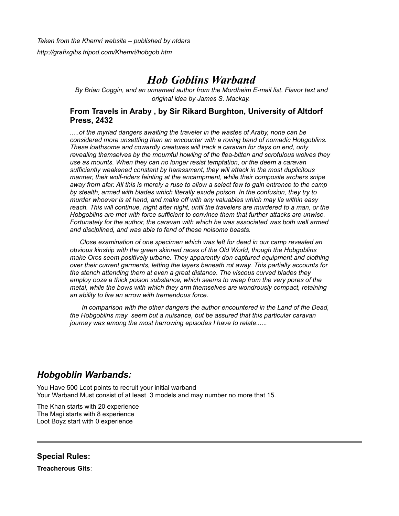*Taken from the Khemri website – published by ntdars http://grafixgibs.tripod.com/Khemri/hobgob.htm*

# *Hob Goblins Warband*

*By Brian Coggin, and an unnamed author from the Mordheim E-mail list. Flavor text and original idea by James S. Mackay.*

# **From Travels in Araby , by Sir Rikard Burghton, University of Altdorf Press, 2432**

*.....of the myriad dangers awaiting the traveler in the wastes of Araby, none can be considered more unsettling than an encounter with a roving band of nomadic Hobgoblins. These loathsome and cowardly creatures will track a caravan for days on end, only revealing themselves by the mournful howling of the flea-bitten and scrofulous wolves they use as mounts. When they can no longer resist temptation, or the deem a caravan sufficiently weakened constant by harassment, they will attack in the most duplicitous manner, their wolf-riders feinting at the encampment, while their composite archers snipe away from afar. All this is merely a ruse to allow a select few to gain entrance to the camp by stealth, armed with blades which literally exude poison. In the confusion, they try to murder whoever is at hand, and make off with any valuables which may lie within easy reach. This will continue, night after night, until the travelers are murdered to a man, or the Hobgoblins are met with force sufficient to convince them that further attacks are unwise. Fortunately for the author, the caravan with which he was associated was both well armed and disciplined, and was able to fend of these noisome beasts.*

*Close examination of one specimen which was left for dead in our camp revealed an obvious kinship with the green skinned races of the Old World, though the Hobgoblins make Orcs seem positively urbane. They apparently don captured equipment and clothing over their current garments, letting the layers beneath rot away. This partially accounts for the stench attending them at even a great distance. The viscous curved blades they employ ooze a thick poison substance, which seems to weep from the very pores of the metal, while the bows with which they arm themselves are wondrously compact, retaining an ability to fire an arrow with tremendous force.*

*In comparison with the other dangers the author encountered in the Land of the Dead, the Hobgoblins may seem but a nuisance, but be assured that this particular caravan journey was among the most harrowing episodes I have to relate......*

# *Hobgoblin Warbands:*

You Have 500 Loot points to recruit your initial warband Your Warband Must consist of at least 3 models and may number no more that 15.

The Khan starts with 20 experience The Magi starts with 8 experience Loot Boyz start with 0 experience

**Special Rules:**

**Treacherous Gits**: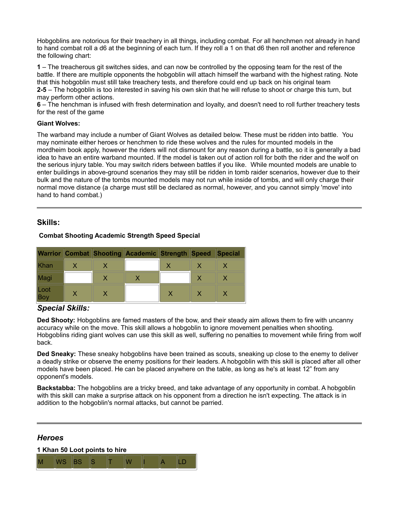Hobgoblins are notorious for their treachery in all things, including combat. For all henchmen not already in hand to hand combat roll a d6 at the beginning of each turn. If they roll a 1 on that d6 then roll another and reference the following chart:

**1** – The treacherous git switches sides, and can now be controlled by the opposing team for the rest of the battle. If there are multiple opponents the hobgoblin will attach himself the warband with the highest rating. Note that this hobgoblin must still take treachery tests, and therefore could end up back on his original team **2-5** – The hobgoblin is too interested in saving his own skin that he will refuse to shoot or charge this turn, but may perform other actions.

**6** – The henchman is infused with fresh determination and loyalty, and doesn't need to roll further treachery tests for the rest of the game

### **Giant Wolves:**

The warband may include a number of Giant Wolves as detailed below. These must be ridden into battle. You may nominate either heroes or henchmen to ride these wolves and the rules for mounted models in the mordheim book apply, however the riders will not dismount for any reason during a battle, so it is generally a bad idea to have an entire warband mounted. If the model is taken out of action roll for both the rider and the wolf on the serious injury table. You may switch riders between battles if you like. While mounted models are unable to enter buildings in above-ground scenarios they may still be ridden in tomb raider scenarios, however due to their bulk and the nature of the tombs mounted models may not run while inside of tombs, and will only charge their normal move distance (a charge must still be declared as normal, however, and you cannot simply 'move' into hand to hand combat.)

# **Skills:**

# **Combat Shooting Academic Strength Speed Special**

|             |  | Warrior Combat Shooting Academic Strength Speed |  | <b>Special</b> |
|-------------|--|-------------------------------------------------|--|----------------|
| Khan        |  |                                                 |  |                |
| Magi        |  |                                                 |  |                |
| Loot<br>Boy |  |                                                 |  |                |

# *Special Skills:*

**Ded Shooty:** Hobgoblins are famed masters of the bow, and their steady aim allows them to fire with uncanny accuracy while on the move. This skill allows a hobgoblin to ignore movement penalties when shooting. Hobgoblins riding giant wolves can use this skill as well, suffering no penalties to movement while firing from wolf back.

**Ded Sneaky:** These sneaky hobgoblins have been trained as scouts, sneaking up close to the enemy to deliver a deadly strike or observe the enemy positions for their leaders. A hobgoblin with this skill is placed after all other models have been placed. He can be placed anywhere on the table, as long as he's at least 12" from any opponent's models.

**Backstabba:** The hobgoblins are a tricky breed, and take advantage of any opportunity in combat. A hobgoblin with this skill can make a surprise attack on his opponent from a direction he isn't expecting. The attack is in addition to the hobgoblin's normal attacks, but cannot be parried.

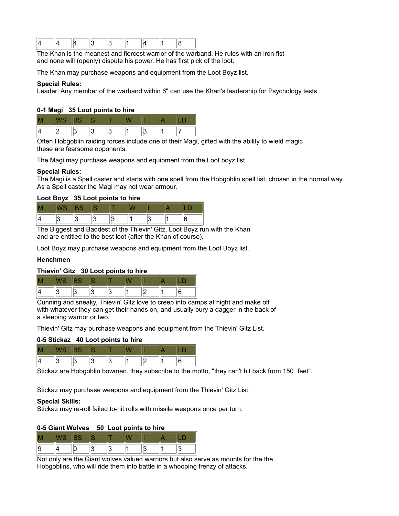|--|--|--|--|--|--|--|--|--|--|--|

The Khan is the meanest and fiercest warrior of the warband. He rules with an iron fist and none will (openly) dispute his power. He has first pick of the loot.

The Khan may purchase weapons and equipment from the Loot Boyz list.

#### **Special Rules:**

Leader: Any member of the warband within 6" can use the Khan's leadership for Psychology tests

#### **0-1 Magi 35 Loot points to hire**

Often Hobgoblin raiding forces include one of their Magi, gifted with the ability to wield magic these are fearsome opponents.

The Magi may purchase weapons and equipment from the Loot boyz list.

#### **Special Rules:**

The Magi is a Spell caster and starts with one spell from the Hobgoblin spell list, chosen in the normal way. As a Spell caster the Magi may not wear armour.

#### **Loot Boyz 35 Loot points to hire**

The Biggest and Baddest of the Thievin' Gitz, Loot Boyz run with the Khan and are entitled to the best loot (after the Khan of course).

Loot Boyz may purchase weapons and equipment from the Loot Boyz list.

#### **Henchmen**

#### **Thievin' Gitz 30 Loot points to hire**

| H |  |  |  |  |
|---|--|--|--|--|
|   |  |  |  |  |

Cunning and sneaky, Thievin' Gitz love to creep into camps at night and make off with whatever they can get their hands on, and usually bury a dagger in the back of a sleeping warrior or two.

Thievin' Gitz may purchase weapons and equipment from the Thievin' Gitz List.

#### **0-5 Stickaz 40 Loot points to hire**

Stickaz are Hobgoblin bowmen. they subscribe to the motto, "they can't hit back from 150 feet".

Stickaz may purchase weapons and equipment from the Thievin' Gitz List.

#### **Special Skills:**

Stickaz may re-roll failed to-hit rolls with missile weapons once per turn.

#### **0-5 Giant Wolves 50 Loot points to hire**

| Ш |  |  |  |  |
|---|--|--|--|--|
| ∼ |  |  |  |  |

Not only are the Giant wolves valued warriors but also serve as mounts for the the Hobgoblins, who will ride them into battle in a whooping frenzy of attacks.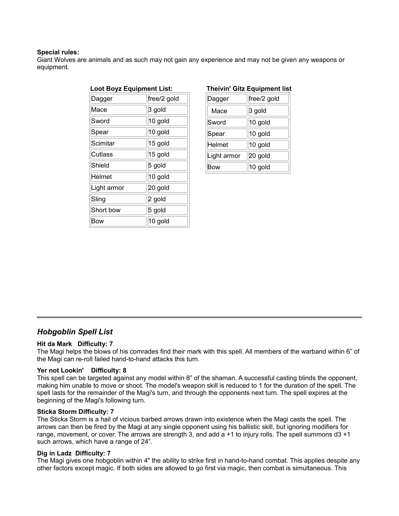#### **Special rules:**

Giant Wolves are animals and as such may not gain any experience and may not be given any weapons or equipment.

| <b>Loot Boyz Equipment List:</b> |  |  |  |  |  |
|----------------------------------|--|--|--|--|--|
| free/2 gold                      |  |  |  |  |  |
| 3 gold                           |  |  |  |  |  |
| 10 gold                          |  |  |  |  |  |
| 10 gold                          |  |  |  |  |  |
| 15 gold                          |  |  |  |  |  |
| 15 gold                          |  |  |  |  |  |
| 5 gold                           |  |  |  |  |  |
| 10 gold                          |  |  |  |  |  |
| 20 gold                          |  |  |  |  |  |
| 2 gold                           |  |  |  |  |  |
| 5 gold                           |  |  |  |  |  |
| 10 gold                          |  |  |  |  |  |
|                                  |  |  |  |  |  |

### **Theivin' Gitz Equipment list**

| Dagger      | free/2 gold |
|-------------|-------------|
| Mace        | 3 gold      |
| Sword       | 10 gold     |
| Spear       | 10 gold     |
| Helmet      | 10 gold     |
| Light armor | 20 gold     |
| Bow         | 10 gold     |

# *Hobgoblin Spell List*

#### **Hit da Mark Difficulty: 7**

The Magi helps the blows of his comrades find their mark with this spell. All members of the warband within 6" of the Magi can re-roll failed hand-to-hand attacks this turn.

## **Yer not Lookin' Difficulty: 8**

This spell can be targeted against any model within 8" of the shaman. A successful casting blinds the opponent, making him unable to move or shoot. The model's weapon skill is reduced to 1 for the duration of the spell. The spell lasts for the remainder of the Magi's turn, and through the opponents next turn. The spell expires at the beginning of the Magi's following turn.

#### **Sticka Storm Difficulty: 7**

The Sticka Storm is a hail of vicious barbed arrows drawn into existence when the Magi casts the spell. The arrows can then be fired by the Magi at any single opponent using his ballistic skill, but ignoring modifiers for range, movement, or cover. The arrows are strength 3, and add a +1 to injury rolls. The spell summons d3 +1 such arrows, which have a range of 24".

#### **Dig in Ladz Difficulty: 7**

The Magi gives one hobgoblin within 4" the ability to strike first in hand-to-hand combat. This applies despite any other factors except magic. If both sides are allowed to go first via magic, then combat is simultaneous. This